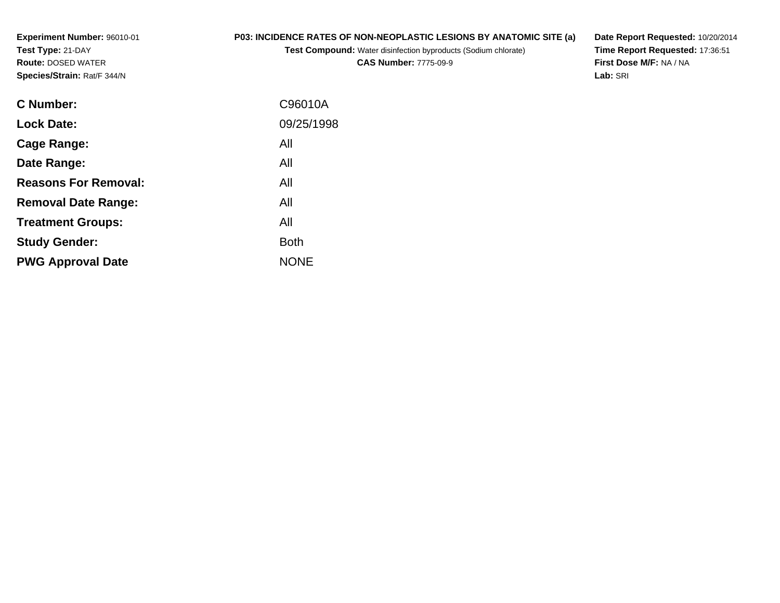**Experiment Number:** 96010-01**Test Type:** 21-DAY **Route:** DOSED WATER**Species/Strain:** Rat/F 344/N

## **P03: INCIDENCE RATES OF NON-NEOPLASTIC LESIONS BY ANATOMIC SITE (a)**

**Test Compound:** Water disinfection byproducts (Sodium chlorate)

**CAS Number:** 7775-09-9

**Date Report Requested:** 10/20/2014 **Time Report Requested:** 17:36:51**First Dose M/F:** NA / NA**Lab:** SRI

| <b>C</b> Number:            | C96010A     |
|-----------------------------|-------------|
| <b>Lock Date:</b>           | 09/25/1998  |
| Cage Range:                 | All         |
| Date Range:                 | All         |
| <b>Reasons For Removal:</b> | All         |
| <b>Removal Date Range:</b>  | All         |
| <b>Treatment Groups:</b>    | All         |
| <b>Study Gender:</b>        | <b>Both</b> |
| <b>PWG Approval Date</b>    | <b>NONE</b> |
|                             |             |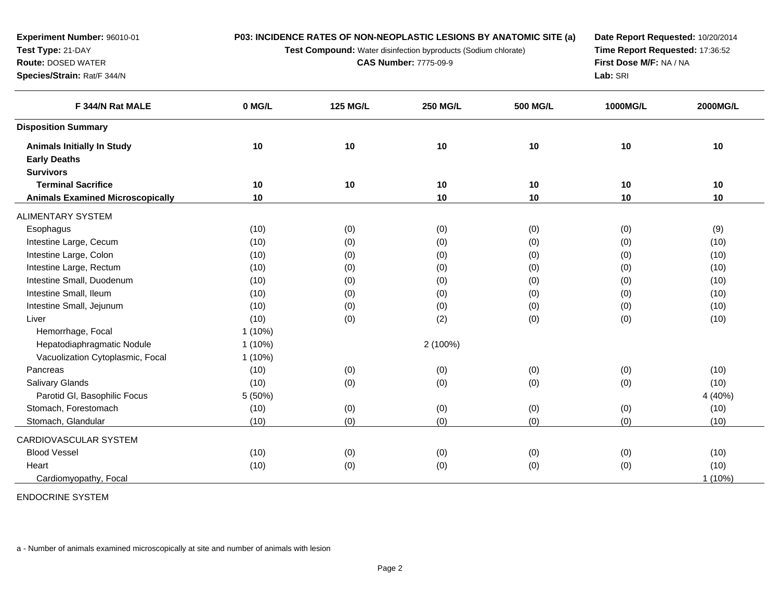**Test Compound:** Water disinfection byproducts (Sodium chlorate)

**CAS Number:** 7775-09-9

**Date Report Requested:** 10/20/2014**Time Report Requested:** 17:36:52**First Dose M/F:** NA / NA**Lab:** SRI

| F 344/N Rat MALE                        | 0 MG/L    | <b>125 MG/L</b> | <b>250 MG/L</b> | <b>500 MG/L</b> | <b>1000MG/L</b> | 2000MG/L  |
|-----------------------------------------|-----------|-----------------|-----------------|-----------------|-----------------|-----------|
| <b>Disposition Summary</b>              |           |                 |                 |                 |                 |           |
| <b>Animals Initially In Study</b>       | 10        | 10              | 10              | 10              | 10              | 10        |
| <b>Early Deaths</b>                     |           |                 |                 |                 |                 |           |
| <b>Survivors</b>                        |           |                 |                 |                 |                 |           |
| <b>Terminal Sacrifice</b>               | 10        | $10$            | 10              | 10              | 10              | 10        |
| <b>Animals Examined Microscopically</b> | 10        |                 | 10              | 10              | 10              | 10        |
| ALIMENTARY SYSTEM                       |           |                 |                 |                 |                 |           |
| Esophagus                               | (10)      | (0)             | (0)             | (0)             | (0)             | (9)       |
| Intestine Large, Cecum                  | (10)      | (0)             | (0)             | (0)             | (0)             | (10)      |
| Intestine Large, Colon                  | (10)      | (0)             | (0)             | (0)             | (0)             | (10)      |
| Intestine Large, Rectum                 | (10)      | (0)             | (0)             | (0)             | (0)             | (10)      |
| Intestine Small, Duodenum               | (10)      | (0)             | (0)             | (0)             | (0)             | (10)      |
| Intestine Small, Ileum                  | (10)      | (0)             | (0)             | (0)             | (0)             | (10)      |
| Intestine Small, Jejunum                | (10)      | (0)             | (0)             | (0)             | (0)             | (10)      |
| Liver                                   | (10)      | (0)             | (2)             | (0)             | (0)             | (10)      |
| Hemorrhage, Focal                       | $1(10\%)$ |                 |                 |                 |                 |           |
| Hepatodiaphragmatic Nodule              | $1(10\%)$ |                 | 2 (100%)        |                 |                 |           |
| Vacuolization Cytoplasmic, Focal        | $1(10\%)$ |                 |                 |                 |                 |           |
| Pancreas                                | (10)      | (0)             | (0)             | (0)             | (0)             | (10)      |
| <b>Salivary Glands</b>                  | (10)      | (0)             | (0)             | (0)             | (0)             | (10)      |
| Parotid GI, Basophilic Focus            | 5 (50%)   |                 |                 |                 |                 | 4 (40%)   |
| Stomach, Forestomach                    | (10)      | (0)             | (0)             | (0)             | (0)             | (10)      |
| Stomach, Glandular                      | (10)      | (0)             | (0)             | (0)             | (0)             | (10)      |
| CARDIOVASCULAR SYSTEM                   |           |                 |                 |                 |                 |           |
| <b>Blood Vessel</b>                     | (10)      | (0)             | (0)             | (0)             | (0)             | (10)      |
| Heart                                   | (10)      | (0)             | (0)             | (0)             | (0)             | (10)      |
| Cardiomyopathy, Focal                   |           |                 |                 |                 |                 | $1(10\%)$ |

ENDOCRINE SYSTEM

**Experiment Number:** 96010-01

**Test Type:** 21-DAY **Route:** DOSED WATER**Species/Strain:** Rat/F 344/N

a - Number of animals examined microscopically at site and number of animals with lesion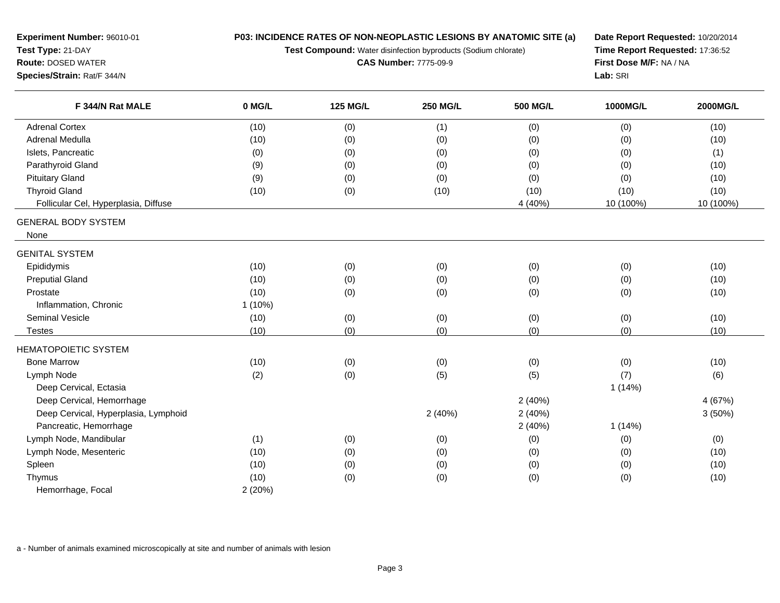**Test Compound:** Water disinfection byproducts (Sodium chlorate)

**CAS Number:** 7775-09-9

**Date Report Requested:** 10/20/2014 **Time Report Requested:** 17:36:52**First Dose M/F:** NA / NA**Lab:** SRI

| F 344/N Rat MALE                     | 0 MG/L    | <b>125 MG/L</b> | 250 MG/L | <b>500 MG/L</b> | 1000MG/L  | 2000MG/L  |
|--------------------------------------|-----------|-----------------|----------|-----------------|-----------|-----------|
| <b>Adrenal Cortex</b>                | (10)      | (0)             | (1)      | (0)             | (0)       | (10)      |
| Adrenal Medulla                      | (10)      | (0)             | (0)      | (0)             | (0)       | (10)      |
| Islets, Pancreatic                   | (0)       | (0)             | (0)      | (0)             | (0)       | (1)       |
| Parathyroid Gland                    | (9)       | (0)             | (0)      | (0)             | (0)       | (10)      |
| <b>Pituitary Gland</b>               | (9)       | (0)             | (0)      | (0)             | (0)       | (10)      |
| <b>Thyroid Gland</b>                 | (10)      | (0)             | (10)     | (10)            | (10)      | (10)      |
| Follicular Cel, Hyperplasia, Diffuse |           |                 |          | 4 (40%)         | 10 (100%) | 10 (100%) |
| <b>GENERAL BODY SYSTEM</b>           |           |                 |          |                 |           |           |
| None                                 |           |                 |          |                 |           |           |
| <b>GENITAL SYSTEM</b>                |           |                 |          |                 |           |           |
| Epididymis                           | (10)      | (0)             | (0)      | (0)             | (0)       | (10)      |
| <b>Preputial Gland</b>               | (10)      | (0)             | (0)      | (0)             | (0)       | (10)      |
| Prostate                             | (10)      | (0)             | (0)      | (0)             | (0)       | (10)      |
| Inflammation, Chronic                | $1(10\%)$ |                 |          |                 |           |           |
| <b>Seminal Vesicle</b>               | (10)      | (0)             | (0)      | (0)             | (0)       | (10)      |
| <b>Testes</b>                        | (10)      | (0)             | (0)      | (0)             | (0)       | (10)      |
| <b>HEMATOPOIETIC SYSTEM</b>          |           |                 |          |                 |           |           |
| <b>Bone Marrow</b>                   | (10)      | (0)             | (0)      | (0)             | (0)       | (10)      |
| Lymph Node                           | (2)       | (0)             | (5)      | (5)             | (7)       | (6)       |
| Deep Cervical, Ectasia               |           |                 |          |                 | 1(14%)    |           |
| Deep Cervical, Hemorrhage            |           |                 |          | 2(40%)          |           | 4 (67%)   |
| Deep Cervical, Hyperplasia, Lymphoid |           |                 | 2(40%)   | 2(40%)          |           | 3(50%)    |
| Pancreatic, Hemorrhage               |           |                 |          | 2(40%)          | 1(14%)    |           |
| Lymph Node, Mandibular               | (1)       | (0)             | (0)      | (0)             | (0)       | (0)       |
| Lymph Node, Mesenteric               | (10)      | (0)             | (0)      | (0)             | (0)       | (10)      |
| Spleen                               | (10)      | (0)             | (0)      | (0)             | (0)       | (10)      |
| Thymus                               | (10)      | (0)             | (0)      | (0)             | (0)       | (10)      |
| Hemorrhage, Focal                    | 2(20%)    |                 |          |                 |           |           |

a - Number of animals examined microscopically at site and number of animals with lesion

**Experiment Number:** 96010-01

**Test Type:** 21-DAY **Route:** DOSED WATER**Species/Strain:** Rat/F 344/N

e e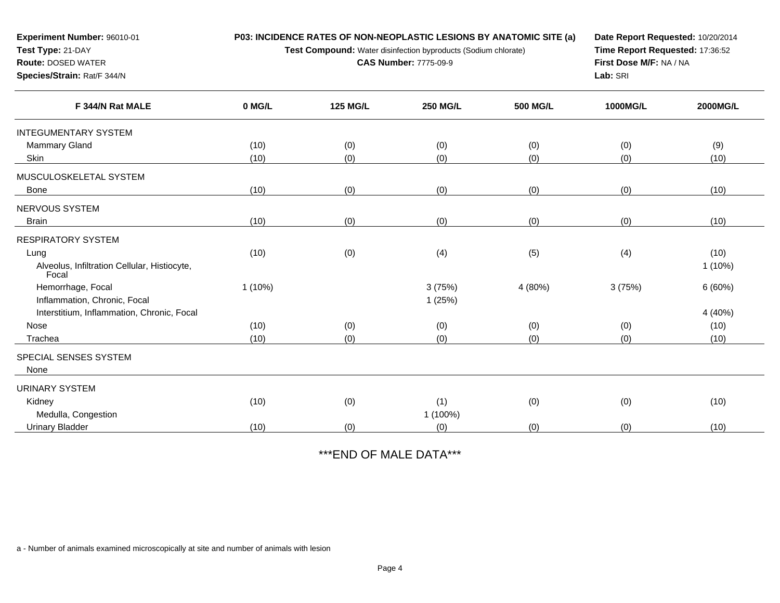**Test Compound:** Water disinfection byproducts (Sodium chlorate)

**CAS Number:** 7775-09-9

**Date Report Requested:** 10/20/2014**Time Report Requested:** 17:36:52**First Dose M/F:** NA / NA**Lab:** SRI

| F 344/N Rat MALE                                      | 0 MG/L    | <b>125 MG/L</b> | <b>250 MG/L</b> | <b>500 MG/L</b> | 1000MG/L | 2000MG/L |
|-------------------------------------------------------|-----------|-----------------|-----------------|-----------------|----------|----------|
| <b>INTEGUMENTARY SYSTEM</b>                           |           |                 |                 |                 |          |          |
| Mammary Gland                                         | (10)      | (0)             | (0)             | (0)             | (0)      | (9)      |
| Skin                                                  | (10)      | (0)             | (0)             | (0)             | (0)      | (10)     |
| MUSCULOSKELETAL SYSTEM                                |           |                 |                 |                 |          |          |
| Bone                                                  | (10)      | (0)             | (0)             | (0)             | (0)      | (10)     |
| NERVOUS SYSTEM                                        |           |                 |                 |                 |          |          |
| <b>Brain</b>                                          | (10)      | (0)             | (0)             | (0)             | (0)      | (10)     |
| RESPIRATORY SYSTEM                                    |           |                 |                 |                 |          |          |
| Lung                                                  | (10)      | (0)             | (4)             | (5)             | (4)      | (10)     |
| Alveolus, Infiltration Cellular, Histiocyte,<br>Focal |           |                 |                 |                 |          | 1 (10%)  |
| Hemorrhage, Focal                                     | $1(10\%)$ |                 | 3(75%)          | 4 (80%)         | 3(75%)   | 6(60%)   |
| Inflammation, Chronic, Focal                          |           |                 | 1(25%)          |                 |          |          |
| Interstitium, Inflammation, Chronic, Focal            |           |                 |                 |                 |          | 4 (40%)  |
| Nose                                                  | (10)      | (0)             | (0)             | (0)             | (0)      | (10)     |
| Trachea                                               | (10)      | (0)             | (0)             | (0)             | (0)      | (10)     |
| SPECIAL SENSES SYSTEM                                 |           |                 |                 |                 |          |          |
| None                                                  |           |                 |                 |                 |          |          |
| URINARY SYSTEM                                        |           |                 |                 |                 |          |          |
| Kidney                                                | (10)      | (0)             | (1)             | (0)             | (0)      | (10)     |
| Medulla, Congestion                                   |           |                 | 1 (100%)        |                 |          |          |
| <b>Urinary Bladder</b>                                | (10)      | (0)             | (0)             | (0)             | (0)      | (10)     |

\*\*\*END OF MALE DATA\*\*\*

a - Number of animals examined microscopically at site and number of animals with lesion

**Experiment Number:** 96010-01

**Test Type:** 21-DAY **Route:** DOSED WATER**Species/Strain:** Rat/F 344/N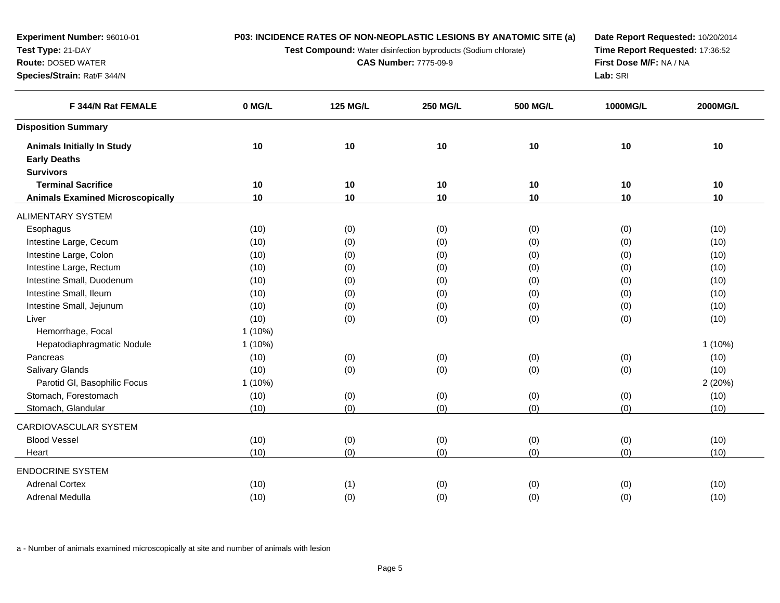**Test Compound:** Water disinfection byproducts (Sodium chlorate)

**CAS Number:** 7775-09-9

**Date Report Requested:** 10/20/2014 **Time Report Requested:** 17:36:52**First Dose M/F:** NA / NA**Lab:** SRI

| F 344/N Rat FEMALE                      | 0 MG/L    | <b>125 MG/L</b> | <b>250 MG/L</b> | <b>500 MG/L</b> | 1000MG/L | 2000MG/L |
|-----------------------------------------|-----------|-----------------|-----------------|-----------------|----------|----------|
| <b>Disposition Summary</b>              |           |                 |                 |                 |          |          |
| <b>Animals Initially In Study</b>       | 10        | 10              | 10              | $10$            | 10       | 10       |
| <b>Early Deaths</b>                     |           |                 |                 |                 |          |          |
| <b>Survivors</b>                        |           |                 |                 |                 |          |          |
| <b>Terminal Sacrifice</b>               | $10$      | 10              | 10              | 10              | 10       | 10       |
| <b>Animals Examined Microscopically</b> | 10        | 10              | 10              | 10              | 10       | 10       |
| <b>ALIMENTARY SYSTEM</b>                |           |                 |                 |                 |          |          |
| Esophagus                               | (10)      | (0)             | (0)             | (0)             | (0)      | (10)     |
| Intestine Large, Cecum                  | (10)      | (0)             | (0)             | (0)             | (0)      | (10)     |
| Intestine Large, Colon                  | (10)      | (0)             | (0)             | (0)             | (0)      | (10)     |
| Intestine Large, Rectum                 | (10)      | (0)             | (0)             | (0)             | (0)      | (10)     |
| Intestine Small, Duodenum               | (10)      | (0)             | (0)             | (0)             | (0)      | (10)     |
| Intestine Small, Ileum                  | (10)      | (0)             | (0)             | (0)             | (0)      | (10)     |
| Intestine Small, Jejunum                | (10)      | (0)             | (0)             | (0)             | (0)      | (10)     |
| Liver                                   | (10)      | (0)             | (0)             | (0)             | (0)      | (10)     |
| Hemorrhage, Focal                       | $1(10\%)$ |                 |                 |                 |          |          |
| Hepatodiaphragmatic Nodule              | $1(10\%)$ |                 |                 |                 |          | 1(10%)   |
| Pancreas                                | (10)      | (0)             | (0)             | (0)             | (0)      | (10)     |
| Salivary Glands                         | (10)      | (0)             | (0)             | (0)             | (0)      | (10)     |
| Parotid GI, Basophilic Focus            | $1(10\%)$ |                 |                 |                 |          | 2(20%)   |
| Stomach, Forestomach                    | (10)      | (0)             | (0)             | (0)             | (0)      | (10)     |
| Stomach, Glandular                      | (10)      | (0)             | (0)             | (0)             | (0)      | (10)     |
| CARDIOVASCULAR SYSTEM                   |           |                 |                 |                 |          |          |
| <b>Blood Vessel</b>                     | (10)      | (0)             | (0)             | (0)             | (0)      | (10)     |
| Heart                                   | (10)      | (0)             | (0)             | (0)             | (0)      | (10)     |
| <b>ENDOCRINE SYSTEM</b>                 |           |                 |                 |                 |          |          |
| <b>Adrenal Cortex</b>                   | (10)      | (1)             | (0)             | (0)             | (0)      | (10)     |
| Adrenal Medulla                         | (10)      | (0)             | (0)             | (0)             | (0)      | (10)     |
|                                         |           |                 |                 |                 |          |          |

a - Number of animals examined microscopically at site and number of animals with lesion

**Experiment Number:** 96010-01

**Test Type:** 21-DAY **Route:** DOSED WATER**Species/Strain:** Rat/F 344/N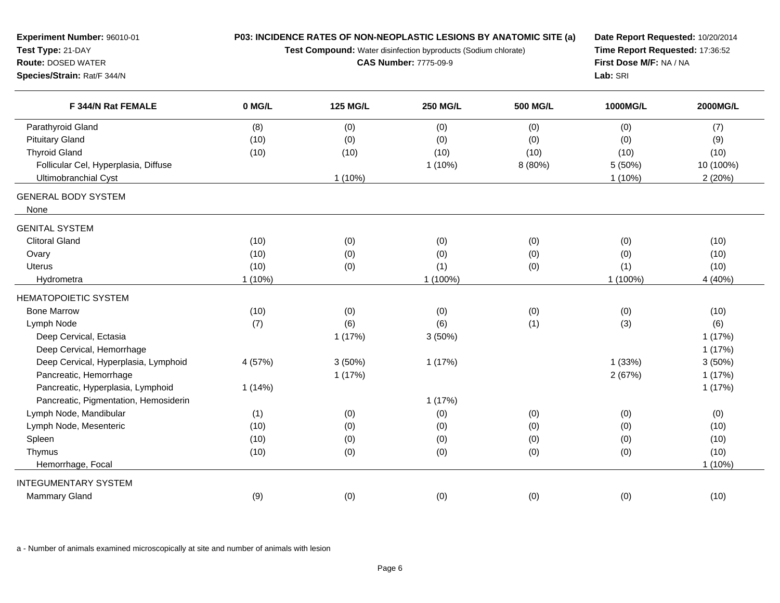| Experiment Number: 96010-01<br>Test Type: 21-DAY<br><b>Route: DOSED WATER</b><br>Species/Strain: Rat/F 344/N | P03: INCIDENCE RATES OF NON-NEOPLASTIC LESIONS BY ANATOMIC SITE (a)<br>Test Compound: Water disinfection byproducts (Sodium chlorate)<br><b>CAS Number: 7775-09-9</b> |                 |                 |                 | Date Report Requested: 10/20/2014<br>Time Report Requested: 17:36:52<br>First Dose M/F: NA / NA<br>Lab: SRI |           |
|--------------------------------------------------------------------------------------------------------------|-----------------------------------------------------------------------------------------------------------------------------------------------------------------------|-----------------|-----------------|-----------------|-------------------------------------------------------------------------------------------------------------|-----------|
| F 344/N Rat FEMALE                                                                                           | 0 MG/L                                                                                                                                                                | <b>125 MG/L</b> | <b>250 MG/L</b> | <b>500 MG/L</b> | 1000MG/L                                                                                                    | 2000MG/L  |
| Parathyroid Gland                                                                                            | (8)                                                                                                                                                                   | (0)             | (0)             | (0)             | (0)                                                                                                         | (7)       |
| <b>Pituitary Gland</b>                                                                                       | (10)                                                                                                                                                                  | (0)             | (0)             | (0)             | (0)                                                                                                         | (9)       |
| <b>Thyroid Gland</b>                                                                                         | (10)                                                                                                                                                                  | (10)            | (10)            | (10)            | (10)                                                                                                        | (10)      |
| Follicular Cel, Hyperplasia, Diffuse                                                                         |                                                                                                                                                                       |                 | $1(10\%)$       | 8 (80%)         | 5 (50%)                                                                                                     | 10 (100%) |
| Ultimobranchial Cyst                                                                                         |                                                                                                                                                                       | $1(10\%)$       |                 |                 | $1(10\%)$                                                                                                   | 2(20%)    |
| <b>GENERAL BODY SYSTEM</b><br>None                                                                           |                                                                                                                                                                       |                 |                 |                 |                                                                                                             |           |
| <b>GENITAL SYSTEM</b>                                                                                        |                                                                                                                                                                       |                 |                 |                 |                                                                                                             |           |
| <b>Clitoral Gland</b>                                                                                        | (10)                                                                                                                                                                  | (0)             | (0)             | (0)             | (0)                                                                                                         | (10)      |
| Ovary                                                                                                        | (10)                                                                                                                                                                  | (0)             | (0)             | (0)             | (0)                                                                                                         | (10)      |
| <b>Uterus</b>                                                                                                | (10)                                                                                                                                                                  | (0)             | (1)             | (0)             | (1)                                                                                                         | (10)      |
| Hydrometra                                                                                                   | $1(10\%)$                                                                                                                                                             |                 | 1 (100%)        |                 | 1 (100%)                                                                                                    | 4 (40%)   |
| <b>HEMATOPOIETIC SYSTEM</b>                                                                                  |                                                                                                                                                                       |                 |                 |                 |                                                                                                             |           |
| <b>Bone Marrow</b>                                                                                           | (10)                                                                                                                                                                  | (0)             | (0)             | (0)             | (0)                                                                                                         | (10)      |
| Lymph Node                                                                                                   | (7)                                                                                                                                                                   | (6)             | (6)             | (1)             | (3)                                                                                                         | (6)       |
| Deep Cervical, Ectasia                                                                                       |                                                                                                                                                                       | 1(17%)          | 3(50%)          |                 |                                                                                                             | 1(17%)    |
| Deep Cervical, Hemorrhage                                                                                    |                                                                                                                                                                       |                 |                 |                 |                                                                                                             | 1(17%)    |
| Deep Cervical, Hyperplasia, Lymphoid                                                                         | 4 (57%)                                                                                                                                                               | 3(50%)          | 1(17%)          |                 | 1(33%)                                                                                                      | 3(50%)    |
| Pancreatic, Hemorrhage                                                                                       |                                                                                                                                                                       | 1(17%)          |                 |                 | 2(67%)                                                                                                      | 1(17%)    |
| Pancreatic, Hyperplasia, Lymphoid                                                                            | 1(14%)                                                                                                                                                                |                 |                 |                 |                                                                                                             | 1(17%)    |
| Pancreatic, Pigmentation, Hemosiderin                                                                        |                                                                                                                                                                       |                 | 1(17%)          |                 |                                                                                                             |           |
| Lymph Node, Mandibular                                                                                       | (1)                                                                                                                                                                   | (0)             | (0)             | (0)             | (0)                                                                                                         | (0)       |
| Lymph Node, Mesenteric                                                                                       | (10)                                                                                                                                                                  | (0)             | (0)             | (0)             | (0)                                                                                                         | (10)      |
| Spleen                                                                                                       | (10)                                                                                                                                                                  | (0)             | (0)             | (0)             | (0)                                                                                                         | (10)      |
| Thymus                                                                                                       | (10)                                                                                                                                                                  | (0)             | (0)             | (0)             | (0)                                                                                                         | (10)      |
| Hemorrhage, Focal                                                                                            |                                                                                                                                                                       |                 |                 |                 |                                                                                                             | 1(10%)    |
| <b>INTEGUMENTARY SYSTEM</b>                                                                                  |                                                                                                                                                                       |                 |                 |                 |                                                                                                             |           |
| <b>Mammary Gland</b>                                                                                         | (9)                                                                                                                                                                   | (0)             | (0)             | (0)             | (0)                                                                                                         | (10)      |

a - Number of animals examined microscopically at site and number of animals with lesion